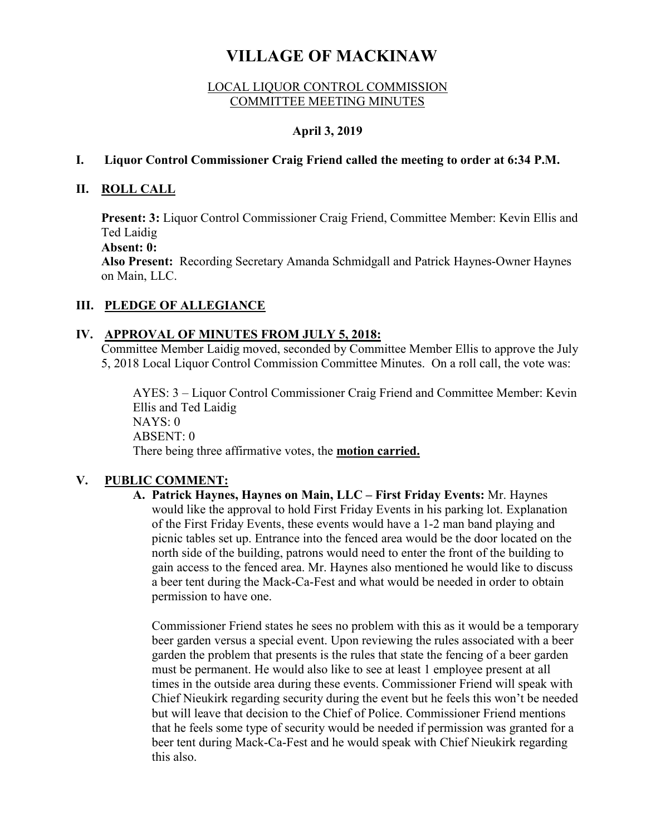# **VILLAGE OF MACKINAW**

#### LOCAL LIQUOR CONTROL COMMISSION COMMITTEE MEETING MINUTES

# **April 3, 2019**

#### **I. Liquor Control Commissioner Craig Friend called the meeting to order at 6:34 P.M.**

### **II. ROLL CALL**

**Present: 3:** Liquor Control Commissioner Craig Friend, Committee Member: Kevin Ellis and Ted Laidig

**Absent: 0:** 

**Also Present:** Recording Secretary Amanda Schmidgall and Patrick Haynes-Owner Haynes on Main, LLC.

# **III. PLEDGE OF ALLEGIANCE**

# **IV. APPROVAL OF MINUTES FROM JULY 5, 2018:**

Committee Member Laidig moved, seconded by Committee Member Ellis to approve the July 5, 2018 Local Liquor Control Commission Committee Minutes. On a roll call, the vote was:

AYES: 3 – Liquor Control Commissioner Craig Friend and Committee Member: Kevin Ellis and Ted Laidig NAYS: 0 ABSENT: 0 There being three affirmative votes, the **motion carried.**

# **V. PUBLIC COMMENT:**

**A. Patrick Haynes, Haynes on Main, LLC – First Friday Events:** Mr. Haynes would like the approval to hold First Friday Events in his parking lot. Explanation of the First Friday Events, these events would have a 1-2 man band playing and picnic tables set up. Entrance into the fenced area would be the door located on the north side of the building, patrons would need to enter the front of the building to gain access to the fenced area. Mr. Haynes also mentioned he would like to discuss a beer tent during the Mack-Ca-Fest and what would be needed in order to obtain permission to have one.

Commissioner Friend states he sees no problem with this as it would be a temporary beer garden versus a special event. Upon reviewing the rules associated with a beer garden the problem that presents is the rules that state the fencing of a beer garden must be permanent. He would also like to see at least 1 employee present at all times in the outside area during these events. Commissioner Friend will speak with Chief Nieukirk regarding security during the event but he feels this won't be needed but will leave that decision to the Chief of Police. Commissioner Friend mentions that he feels some type of security would be needed if permission was granted for a beer tent during Mack-Ca-Fest and he would speak with Chief Nieukirk regarding this also.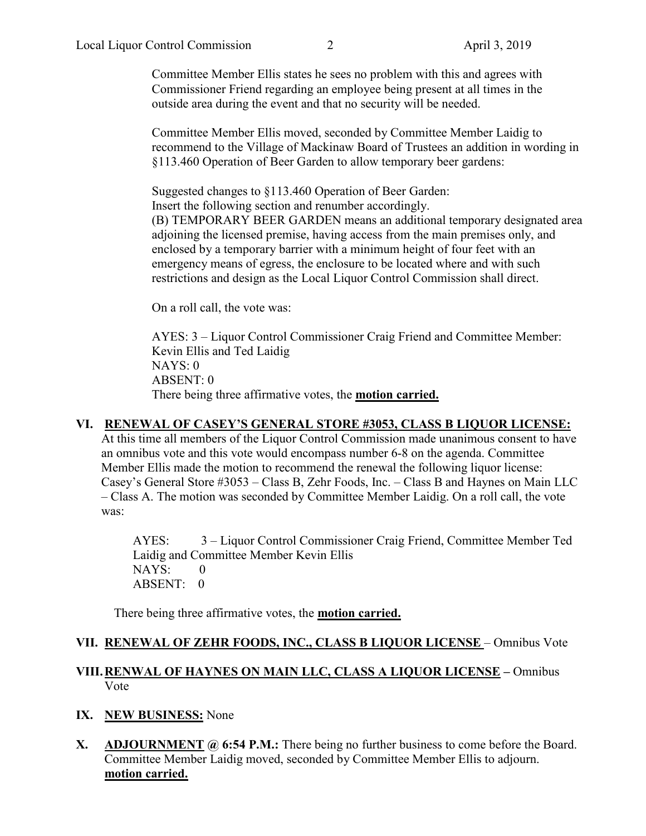Committee Member Ellis states he sees no problem with this and agrees with Commissioner Friend regarding an employee being present at all times in the outside area during the event and that no security will be needed.

Committee Member Ellis moved, seconded by Committee Member Laidig to recommend to the Village of Mackinaw Board of Trustees an addition in wording in §113.460 Operation of Beer Garden to allow temporary beer gardens:

Suggested changes to §113.460 Operation of Beer Garden: Insert the following section and renumber accordingly. (B) TEMPORARY BEER GARDEN means an additional temporary designated area adjoining the licensed premise, having access from the main premises only, and enclosed by a temporary barrier with a minimum height of four feet with an emergency means of egress, the enclosure to be located where and with such restrictions and design as the Local Liquor Control Commission shall direct.

On a roll call, the vote was:

AYES: 3 – Liquor Control Commissioner Craig Friend and Committee Member: Kevin Ellis and Ted Laidig NAYS: 0 ABSENT: 0 There being three affirmative votes, the **motion carried.**

## **VI. RENEWAL OF CASEY'S GENERAL STORE #3053, CLASS B LIQUOR LICENSE:**

At this time all members of the Liquor Control Commission made unanimous consent to have an omnibus vote and this vote would encompass number 6-8 on the agenda. Committee Member Ellis made the motion to recommend the renewal the following liquor license: Casey's General Store #3053 – Class B, Zehr Foods, Inc. – Class B and Haynes on Main LLC – Class A. The motion was seconded by Committee Member Laidig. On a roll call, the vote was:

AYES: 3 – Liquor Control Commissioner Craig Friend, Committee Member Ted Laidig and Committee Member Kevin Ellis  $NAYS: 0$ ABSENT: 0

There being three affirmative votes, the **motion carried.** 

#### **VII. RENEWAL OF ZEHR FOODS, INC., CLASS B LIQUOR LICENSE** – Omnibus Vote

### **VIII.RENWAL OF HAYNES ON MAIN LLC, CLASS A LIQUOR LICENSE –** Omnibus Vote

#### **IX. NEW BUSINESS:** None

**X. ADJOURNMENT @ 6:54 P.M.:** There being no further business to come before the Board. Committee Member Laidig moved, seconded by Committee Member Ellis to adjourn. **motion carried.**